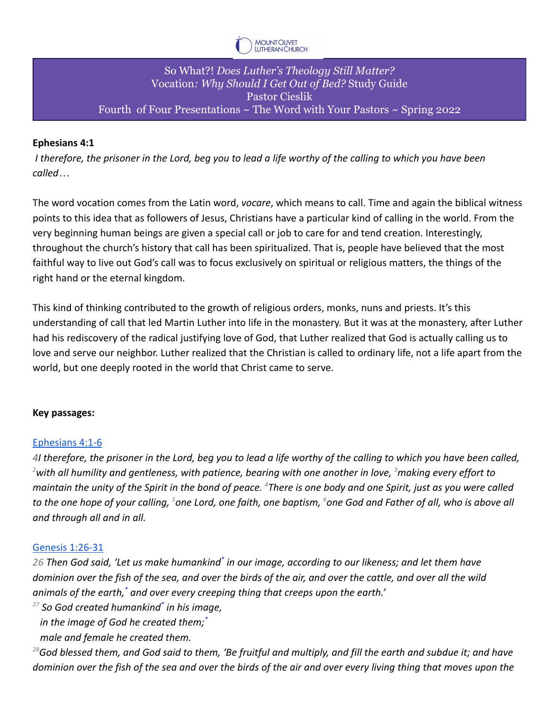

## So What?! *Does Luther's Theology Still Matter?* Vocation*: Why Should I Get Out of Bed?* Study Guide Pastor Cieslik Fourth of Four Presentations  $\sim$  The Word with Your Pastors  $\sim$  Spring 2022

## **Ephesians 4:1**

*I therefore, the prisoner in the Lord, beg you to lead a life worthy of the calling to which you have been called…*

The word vocation comes from the Latin word, *vocare*, which means to call. Time and again the biblical witness points to this idea that as followers of Jesus, Christians have a particular kind of calling in the world. From the very beginning human beings are given a special call or job to care for and tend creation. Interestingly, throughout the church's history that call has been spiritualized. That is, people have believed that the most faithful way to live out God's call was to focus exclusively on spiritual or religious matters, the things of the right hand or the eternal kingdom.

This kind of thinking contributed to the growth of religious orders, monks, nuns and priests. It's this understanding of call that led Martin Luther into life in the monastery. But it was at the monastery, after Luther had his rediscovery of the radical justifying love of God, that Luther realized that God is actually calling us to love and serve our neighbor. Luther realized that the Christian is called to ordinary life, not a life apart from the world, but one deeply rooted in the world that Christ came to serve.

#### **Key passages:**

#### [Ephesians 4:1-6](https://bible.oremus.org/?ql=519713907)

*4I therefore, the prisoner in the Lord, beg you to lead a life worthy of the calling to which you have been called, <sup>2</sup>with all humility and gentleness, with patience, bearing with one another in love, <sup>3</sup>making every effort to maintain the unity of the Spirit in the bond of peace. <sup>4</sup>There is one body and one Spirit, just as you were called to the one hope of your calling, <sup>5</sup>one Lord, one faith, one baptism, <sup>6</sup>one God and Father of all, who is above all and through all and in all.*

#### [Genesis 1:26-31](https://bible.oremus.org/?ql=519713952)

*26 Then God said, 'Let us make humankind\* in our image, according to our likeness; and let them have dominion over the fish of the sea, and over the birds of the air, and over the cattle, and over all the wild animals of the earth,\* and over every creeping thing that creeps upon the earth.'*

*<sup>27</sup> So God created humankind\* in his image,*

*in the image of God he created them;\**

*male and female he created them.*

*<sup>28</sup>God blessed them, and God said to them, 'Be fruitful and multiply, and fill the earth and subdue it; and have dominion over the fish of the sea and over the birds of the air and over every living thing that moves upon the*